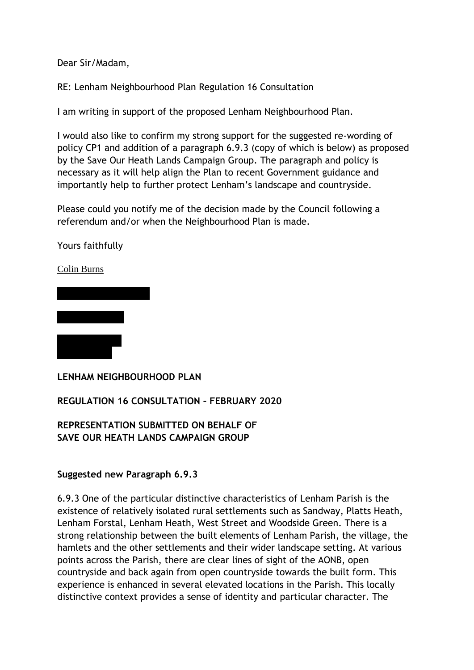Dear Sir/Madam,

RE: Lenham Neighbourhood Plan Regulation 16 Consultation

I am writing in support of the proposed Lenham Neighbourhood Plan.

I would also like to confirm my strong support for the suggested re-wording of policy CP1 and addition of a paragraph 6.9.3 (copy of which is below) as proposed by the Save Our Heath Lands Campaign Group. The paragraph and policy is necessary as it will help align the Plan to recent Government guidance and importantly help to further protect Lenham's landscape and countryside.

Please could you notify me of the decision made by the Council following a referendum and/or when the Neighbourhood Plan is made.

Yours faithfully

Colin Burns



**LENHAM NEIGHBOURHOOD PLAN**

**REGULATION 16 CONSULTATION – FEBRUARY 2020**

**REPRESENTATION SUBMITTED ON BEHALF OF SAVE OUR HEATH LANDS CAMPAIGN GROUP**

## **Suggested new Paragraph 6.9.3**

6.9.3 One of the particular distinctive characteristics of Lenham Parish is the existence of relatively isolated rural settlements such as Sandway, Platts Heath, Lenham Forstal, Lenham Heath, West Street and Woodside Green. There is a strong relationship between the built elements of Lenham Parish, the village, the hamlets and the other settlements and their wider landscape setting. At various points across the Parish, there are clear lines of sight of the AONB, open countryside and back again from open countryside towards the built form. This experience is enhanced in several elevated locations in the Parish. This locally distinctive context provides a sense of identity and particular character. The